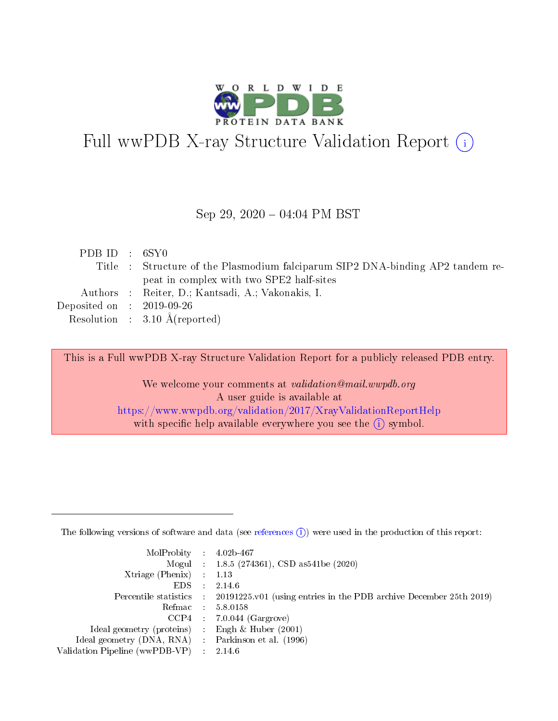

# Full wwPDB X-ray Structure Validation Report (i)

#### Sep 29,  $2020 - 04:04$  PM BST

| PDBID : 6SY0                         |                                                                                |
|--------------------------------------|--------------------------------------------------------------------------------|
|                                      | Title : Structure of the Plasmodium falciparum SIP2 DNA-binding AP2 tandem re- |
|                                      | peat in complex with two SPE2 half-sites                                       |
|                                      | Authors : Reiter, D.; Kantsadi, A.; Vakonakis, I.                              |
| Deposited on $\therefore$ 2019-09-26 |                                                                                |
|                                      | Resolution : $3.10 \text{ Å}$ (reported)                                       |

This is a Full wwPDB X-ray Structure Validation Report for a publicly released PDB entry.

We welcome your comments at validation@mail.wwpdb.org A user guide is available at <https://www.wwpdb.org/validation/2017/XrayValidationReportHelp> with specific help available everywhere you see the  $(i)$  symbol.

The following versions of software and data (see [references](https://www.wwpdb.org/validation/2017/XrayValidationReportHelp#references)  $(1)$ ) were used in the production of this report:

| $MolProbability$ : 4.02b-467                        |           |                                                                                            |
|-----------------------------------------------------|-----------|--------------------------------------------------------------------------------------------|
|                                                     |           | Mogul : $1.8.5$ (274361), CSD as 541be (2020)                                              |
| Xtriage (Phenix) $: 1.13$                           |           |                                                                                            |
| EDS –                                               | $\sim 10$ | 2.14.6                                                                                     |
|                                                     |           | Percentile statistics : 20191225.v01 (using entries in the PDB archive December 25th 2019) |
| Refmac 58.0158                                      |           |                                                                                            |
|                                                     |           | $CCP4$ 7.0.044 (Gargrove)                                                                  |
| Ideal geometry (proteins) : Engh $\&$ Huber (2001)  |           |                                                                                            |
| Ideal geometry (DNA, RNA) : Parkinson et al. (1996) |           |                                                                                            |
| Validation Pipeline (wwPDB-VP) : 2.14.6             |           |                                                                                            |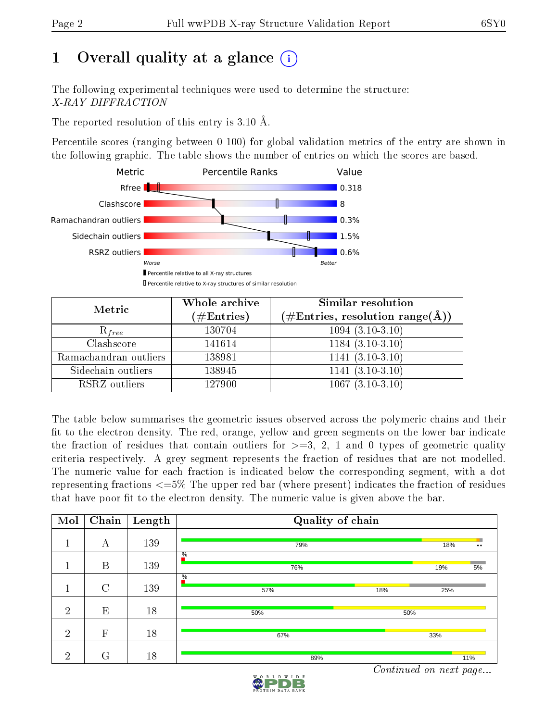# 1 [O](https://www.wwpdb.org/validation/2017/XrayValidationReportHelp#overall_quality)verall quality at a glance  $(i)$

The following experimental techniques were used to determine the structure: X-RAY DIFFRACTION

The reported resolution of this entry is 3.10 Å.

Percentile scores (ranging between 0-100) for global validation metrics of the entry are shown in the following graphic. The table shows the number of entries on which the scores are based.



| Metric                | Whole archive<br>$(\#\text{Entries})$ | Similar resolution<br>$(\#\text{Entries}, \text{resolution range}(\text{\AA}))$ |
|-----------------------|---------------------------------------|---------------------------------------------------------------------------------|
| $R_{free}$            | 130704                                | $1094(3.10-3.10)$                                                               |
| Clashscore            | 141614                                | $1184(3.10-3.10)$                                                               |
| Ramachandran outliers | 138981                                | $\overline{1141}$ $\overline{(3.10-3.10)}$                                      |
| Sidechain outliers    | 138945                                | $1141(3.10-3.10)$                                                               |
| RSRZ outliers         | 127900                                | $1067(3.10-3.10)$                                                               |

The table below summarises the geometric issues observed across the polymeric chains and their fit to the electron density. The red, orange, yellow and green segments on the lower bar indicate the fraction of residues that contain outliers for  $>=3, 2, 1$  and 0 types of geometric quality criteria respectively. A grey segment represents the fraction of residues that are not modelled. The numeric value for each fraction is indicated below the corresponding segment, with a dot representing fractions  $\epsilon=5\%$  The upper red bar (where present) indicates the fraction of residues that have poor fit to the electron density. The numeric value is given above the bar.

| Mol            | $\overline{\text{Chain}}$ | Length | Quality of chain            |     |                  |  |  |  |
|----------------|---------------------------|--------|-----------------------------|-----|------------------|--|--|--|
|                | А                         | 139    | 79%                         | 18% | $\bullet\bullet$ |  |  |  |
|                | B                         | 139    | $\%$<br>76%                 | 19% | 5%               |  |  |  |
|                | $\rm C$                   | 139    | $\frac{0}{6}$<br>57%<br>18% | 25% |                  |  |  |  |
| $\overline{2}$ | E                         | 18     | 50%                         | 50% |                  |  |  |  |
| $\overline{2}$ | $\mathbf{F}$              | 18     | 67%                         | 33% |                  |  |  |  |
| $\overline{2}$ | G                         | 18     | 89%                         |     | 11%              |  |  |  |

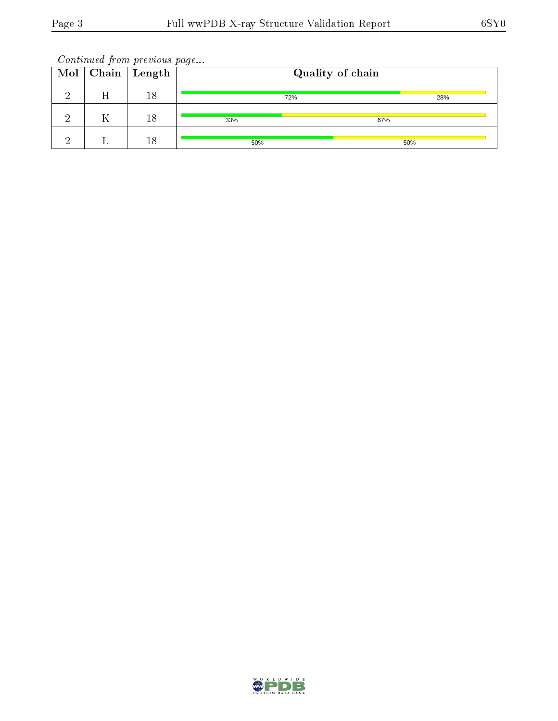Continued from previous page...

|  | $\overline{\text{Mol}}$ Chain   Length | Quality of chain |     |     |  |
|--|----------------------------------------|------------------|-----|-----|--|
|  | 18                                     |                  | 72% | 28% |  |
|  | 18                                     | 33%              | 67% |     |  |
|  | 18                                     | 50%              |     | 50% |  |

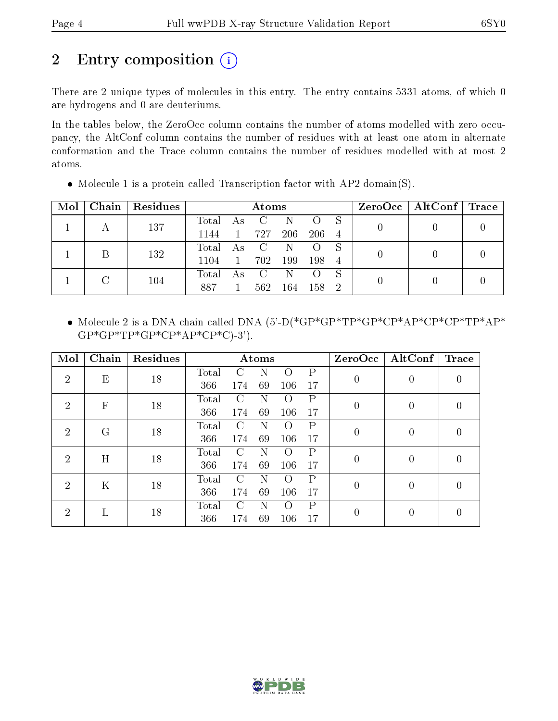## 2 Entry composition (i)

There are 2 unique types of molecules in this entry. The entry contains 5331 atoms, of which 0 are hydrogens and 0 are deuteriums.

In the tables below, the ZeroOcc column contains the number of atoms modelled with zero occupancy, the AltConf column contains the number of residues with at least one atom in alternate conformation and the Trace column contains the number of residues modelled with at most 2 atoms.

| Mol |     | Chain   Residues |       | Atoms        |                   |     |                  |                | $\rm ZeroOcc \mid AltConf \mid Trace$ |  |
|-----|-----|------------------|-------|--------------|-------------------|-----|------------------|----------------|---------------------------------------|--|
|     |     | 137              | Total |              | As C              | N.  | $\Omega$         |                |                                       |  |
|     |     |                  | 1144  | $\mathbf{1}$ | 727               | 206 | -206-            | $\overline{4}$ |                                       |  |
|     |     | 132              | Total | $A_{S}$      | $\overline{C}$    | N.  | $\left( \right)$ |                |                                       |  |
|     |     |                  | 1104  | $\mathbf{1}$ | 702               | 199 | 198              | -4             |                                       |  |
|     |     |                  | Total | As           | $\hspace{0.1cm}C$ | N.  |                  |                |                                       |  |
|     | 104 | 887              |       | 562          | 164               | 158 | -2               |                |                                       |  |

• Molecule 1 is a protein called Transcription factor with  $AP2$  domain(S).

 Molecule 2 is a DNA chain called DNA (5'-D(\*GP\*GP\*TP\*GP\*CP\*AP\*CP\*CP\*TP\*AP\*  $GP*GP*TP*GP*CP*AP*CP*CP*C$ )-3').

| Mol                              | Chain                     | Residues |              |               | Atoms |                  |                | ZeroOcc        | $\operatorname{AltConf}$ | Trace            |
|----------------------------------|---------------------------|----------|--------------|---------------|-------|------------------|----------------|----------------|--------------------------|------------------|
| $\overline{2}$                   | E                         | 18       | Total        |               | N     |                  | Ρ              | 0              | $\overline{0}$           | 0                |
|                                  |                           |          | 366          | 174           | 69    | 106              | 17             |                |                          |                  |
| $\overline{2}$                   | $\boldsymbol{\mathrm{F}}$ | 18       | <b>Total</b> | $\mathcal{C}$ | N     |                  | P              | $\overline{0}$ | $\overline{0}$           | $\left( \right)$ |
|                                  |                           |          | 366          | 174           | 69    | 106              | 17             |                |                          |                  |
| $\mathcal{D}$                    | $\rm G$                   | 18       | Total        | $\mathcal{C}$ | N     |                  | $\mathbf{P}$   | 0              | $\overline{0}$           | $\left( \right)$ |
|                                  |                           |          | 366          | 174           | 69    | 106              | 17             |                |                          |                  |
| $\mathcal{D}_{\mathcal{L}}$      |                           | H<br>18  | Total        | $\mathcal{C}$ | N     | $\left( \right)$ | $\mathbf{P}$   | 0              | $\overline{0}$           | 0                |
|                                  |                           |          | 366          | 174           | 69    | 106              | 17             |                |                          |                  |
| 2                                | $\mathbf K$               | 18       | Total        | $\mathcal{C}$ | N     | $\left( \right)$ | $\mathsf{P}$   | $\theta$       | $\overline{0}$           | $\left( \right)$ |
|                                  |                           |          | 366          | 174           | 69    | 106              | 17             |                |                          |                  |
| L<br>$\mathcal{D}_{\mathcal{L}}$ |                           | Total    | C            | N             |       | P                | $\overline{0}$ | $\overline{0}$ | 0                        |                  |
|                                  |                           | 18       | 366          | 174           | 69    | 106              | 17             |                |                          |                  |

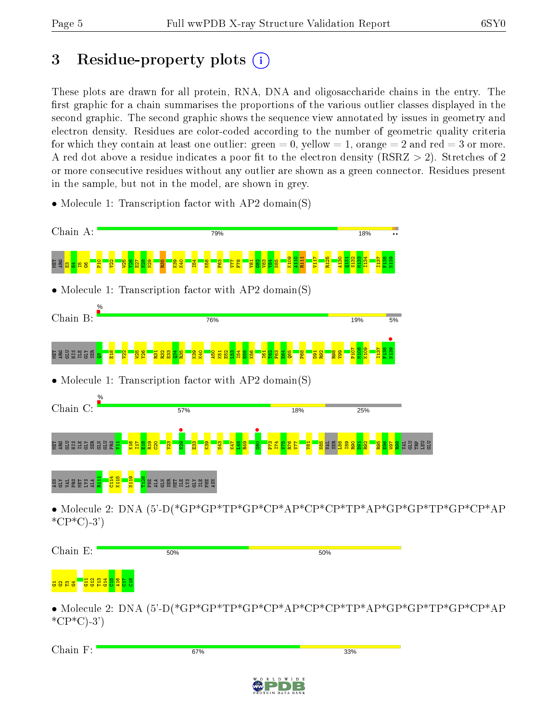# 3 Residue-property plots  $(i)$

These plots are drawn for all protein, RNA, DNA and oligosaccharide chains in the entry. The first graphic for a chain summarises the proportions of the various outlier classes displayed in the second graphic. The second graphic shows the sequence view annotated by issues in geometry and electron density. Residues are color-coded according to the number of geometric quality criteria for which they contain at least one outlier: green  $= 0$ , yellow  $= 1$ , orange  $= 2$  and red  $= 3$  or more. A red dot above a residue indicates a poor fit to the electron density ( $\text{RSRZ} > 2$ ). Stretches of 2 or more consecutive residues without any outlier are shown as a green connector. Residues present in the sample, but not in the model, are shown in grey.

• Molecule 1: Transcription factor with AP2 domain(S)



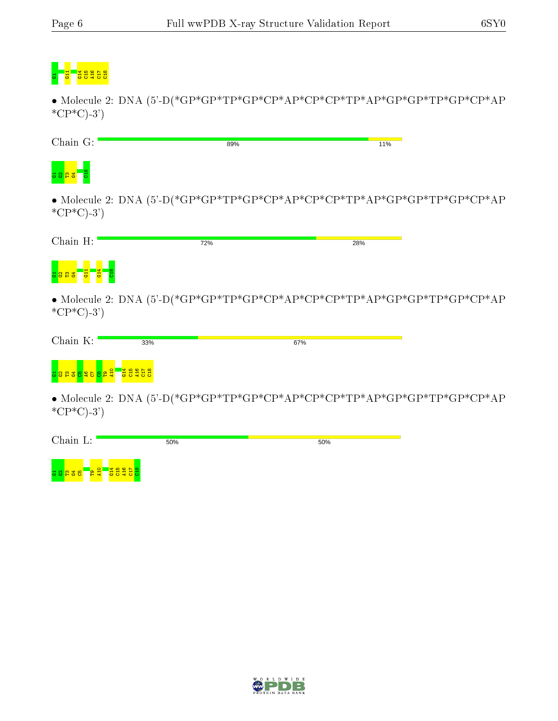# g <mark>d gesgeb</mark>

 $\bullet$  Molecule 2: DNA (5'-D(\*GP\*GP\*TP\*GP\*CP\*AP\*CP\*TP\*AP\*GP\*GP\*TP\*GP\*CP\*AP  $*CP*C$ -3')

| Chain G:       | 89% | 11% |
|----------------|-----|-----|
| $\frac{8}{10}$ |     |     |

 $\bullet$  Molecule 2: DNA (5'-D(\*GP\*GP\*TP\*GP\*CP\*AP\*CP\*TP\*AP\*GP\*GP\*TP\*GP\*CP\*AP  $*CP*C$ -3')

| Chain H:                                            | 72%                                                                    | 28% |
|-----------------------------------------------------|------------------------------------------------------------------------|-----|
| <mark>៵</mark> នួន <mark>៖ ក្នុង</mark> ក្នុង ក្នុង |                                                                        |     |
|                                                     | • Molecule 2: DNA $(5^{\circ}$ -D(*GP*GP*TP*GP*CP*AP*CP*CP*TP*AP*GP*GF |     |

• Molecule 2: DNA (5'-D(\*GP\*GP\*TP\*GP\*CP\*AP\*CP\*CP\*TP\*AP\*GP\*GP\*TP\*GP\*CP\*AP  $*CP*C$ -3')

• Molecule 2: DNA (5'-D(\*GP\*GP\*TP\*GP\*CP\*AP\*CP\*CP\*TP\*AP\*GP\*GP\*TP\*GP\*CP\*AP  $*CP*C$ -3')

| Chain L:                                        | 50% | 50% |
|-------------------------------------------------|-----|-----|
| -<br><mark>- 요 국</mark><br>- <mark>불쁑쁔븅쁌</mark> |     |     |

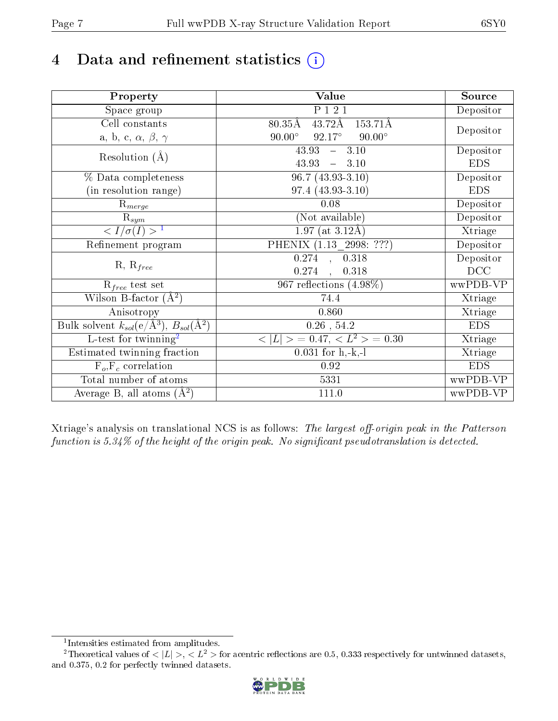# 4 Data and refinement statistics  $(i)$

| Property                                                             | Value                                             | Source     |
|----------------------------------------------------------------------|---------------------------------------------------|------------|
| $\overline{S}$ pace group                                            | P 1 2 1                                           | Depositor  |
| Cell constants                                                       | $43.72\text{\AA}$<br>$80.35\text{\AA}$<br>153.71Å |            |
| a, b, c, $\alpha$ , $\beta$ , $\gamma$                               | $90.00^\circ$<br>$92.17^{\circ}$<br>$90.00^\circ$ | Depositor  |
| Resolution $(A)$                                                     | 43.93<br>$-3.10$                                  | Depositor  |
|                                                                      | 43.93<br>$-3.10$                                  | <b>EDS</b> |
| % Data completeness                                                  | $96.7(43.93-3.10)$                                | Depositor  |
| (in resolution range)                                                | $97.4(43.93-3.10)$                                | <b>EDS</b> |
| $R_{merge}$                                                          | $0.08\,$                                          | Depositor  |
| $\mathrm{R}_{sym}$                                                   | (Not available)                                   | Depositor  |
| $\langle I/\sigma(I) \rangle$ <sup>1</sup>                           | 1.97 (at $3.12\text{\AA}$ )                       | Xtriage    |
| Refinement program                                                   | PHENIX (1.13 _ 2998: ???)                         | Depositor  |
|                                                                      | $0.274$ , $0.\overline{318}$                      | Depositor  |
| $R, R_{free}$                                                        | 0.274<br>0.318<br>$\frac{1}{2}$                   | DCC        |
| $\mathcal{R}_{free}$ test set                                        | $967$ reflections $(4.98\%)$                      | wwPDB-VP   |
| Wilson B-factor $(A^2)$                                              | 74.4                                              | Xtriage    |
| Anisotropy                                                           | 0.860                                             | Xtriage    |
| Bulk solvent $k_{sol}(e/\mathring{A}^3)$ , $B_{sol}(\mathring{A}^2)$ | $0.26$ , 54.2                                     | <b>EDS</b> |
| L-test for twinning <sup>2</sup>                                     | $< L >$ = 0.47, $< L2$ = 0.30                     | Xtriage    |
| Estimated twinning fraction                                          | $0.031$ for $h, -k, -l$                           | Xtriage    |
| $F_o, F_c$ correlation                                               | 0.92                                              | <b>EDS</b> |
| Total number of atoms                                                | 5331                                              | wwPDB-VP   |
| Average B, all atoms $(A^2)$                                         | 111.0                                             | wwPDB-VP   |

Xtriage's analysis on translational NCS is as follows: The largest off-origin peak in the Patterson function is  $5.34\%$  of the height of the origin peak. No significant pseudotranslation is detected.

<sup>&</sup>lt;sup>2</sup>Theoretical values of  $\langle |L| \rangle$ ,  $\langle L^2 \rangle$  for acentric reflections are 0.5, 0.333 respectively for untwinned datasets, and 0.375, 0.2 for perfectly twinned datasets.



<span id="page-6-1"></span><span id="page-6-0"></span><sup>1</sup> Intensities estimated from amplitudes.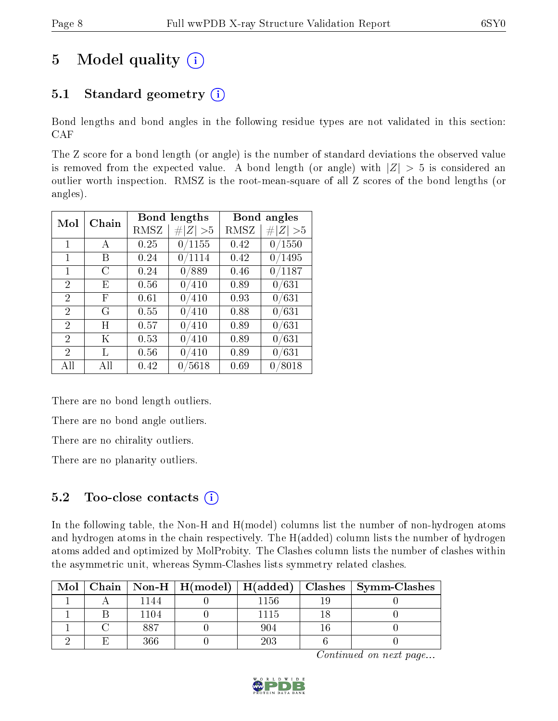# 5 Model quality  $(i)$

### 5.1 Standard geometry  $(i)$

Bond lengths and bond angles in the following residue types are not validated in this section: CAF

The Z score for a bond length (or angle) is the number of standard deviations the observed value is removed from the expected value. A bond length (or angle) with  $|Z| > 5$  is considered an outlier worth inspection. RMSZ is the root-mean-square of all Z scores of the bond lengths (or angles).

| Mol            | Chain |      | Bond lengths | Bond angles |             |  |
|----------------|-------|------|--------------|-------------|-------------|--|
|                |       | RMSZ | Z   > 5      | RMSZ        | # $ Z  > 5$ |  |
| $\mathbf{1}$   | А     | 0.25 | 0/1155       | 0.42        | 0/1550      |  |
| 1              | Β     | 0.24 | 0/1114       | 0.42        | 0/1495      |  |
| 1              | С     | 0.24 | 0/889        | 0.46        | 0/1187      |  |
| 2              | E     | 0.56 | 0/410        | 0.89        | 0/631       |  |
| 2              | F     | 0.61 | 0/410        | 0.93        | 0/631       |  |
| $\overline{2}$ | G     | 0.55 | 0/410        | 0.88        | 0/631       |  |
| $\overline{2}$ | H     | 0.57 | 0/410        | 0.89        | 0/631       |  |
| $\overline{2}$ | K     | 0.53 | 0/410        | 0.89        | 0/631       |  |
| $\mathfrak{D}$ | L     | 0.56 | 0/410        | 0.89        | 0/631       |  |
| All            | All   | 0.42 | 0/5618       | 0.69        | 0/8018      |  |

There are no bond length outliers.

There are no bond angle outliers.

There are no chirality outliers.

There are no planarity outliers.

### $5.2$  Too-close contacts  $\overline{1}$

In the following table, the Non-H and H(model) columns list the number of non-hydrogen atoms and hydrogen atoms in the chain respectively. The H(added) column lists the number of hydrogen atoms added and optimized by MolProbity. The Clashes column lists the number of clashes within the asymmetric unit, whereas Symm-Clashes lists symmetry related clashes.

| Mol |       |      | Chain   Non-H   H(model)   H(added)   Clashes   Symm-Clashes |
|-----|-------|------|--------------------------------------------------------------|
|     | l 144 | 1156 |                                                              |
|     | 1104  | 1115 |                                                              |
|     | 887   |      |                                                              |
|     | ารร   | 203  |                                                              |

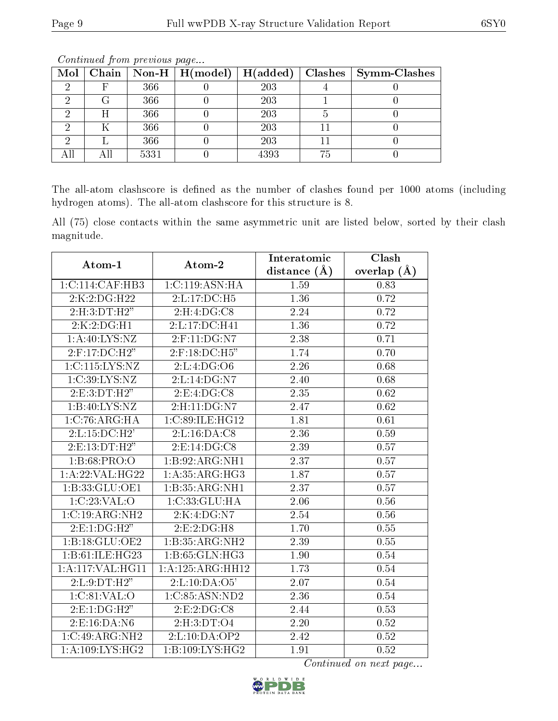| $Mol \vert$ |      | $\mid$ Chain $\mid$ Non-H $\mid$ H(model) $\mid$ H(added) |      |    | Clashes   Symm-Clashes |
|-------------|------|-----------------------------------------------------------|------|----|------------------------|
|             | 366  |                                                           | 203  |    |                        |
|             | 366  |                                                           | 203  |    |                        |
|             | 366  |                                                           | 203  |    |                        |
|             | 366  |                                                           | 203  |    |                        |
|             | 366  |                                                           | 203  |    |                        |
|             | 5331 |                                                           | 4393 | 75 |                        |

Continued from previous page...

The all-atom clashscore is defined as the number of clashes found per 1000 atoms (including hydrogen atoms). The all-atom clashscore for this structure is 8.

All (75) close contacts within the same asymmetric unit are listed below, sorted by their clash magnitude.

| Atom-1              | Atom-2                       | Interatomic       | Clash         |  |
|---------------------|------------------------------|-------------------|---------------|--|
|                     |                              | distance $(A)$    | overlap $(A)$ |  |
| 1: C: 114: CAF: HB3 | 1:C:119:ASN:HA               | 1.59              | 0.83          |  |
| 2:K:2:DG:H22        | 2:L:17:DC:H5                 | 1.36              | 0.72          |  |
| 2: H:3: DT:H2"      | 2:H:4:DG:C8                  | 2.24              | 0.72          |  |
| 2:K:2:DG:HI         | 2: L: 17: DC: H41            | $\overline{1.36}$ | 0.72          |  |
| 1: A:40: LYS:NZ     | 2:F:11:DG:N7                 | 2.38              | 0.71          |  |
| $2:$ F:17:DC:H $2"$ | $2:$ F:18:DC:H5"             | 1.74              | 0.70          |  |
| 1:C:115:LYS:NZ      | 2:L:4:DG:O6                  | 2.26              | 0.68          |  |
| 1:C:39:LYS:NZ       | 2:L:14:DG:N7                 | 2.40              | 0.68          |  |
| 2: E: 3: DT:H2"     | 2: E: 4: DG: C8              | $\overline{2.35}$ | 0.62          |  |
| 1:B:40:LYS:NZ       | 2:H:11:DG:N7                 | 2.47              | 0.62          |  |
| 1:C:76:ARG:HA       | $1:C:\overline{89:ILE:HG12}$ | 1.81              | 0.61          |  |
| 2:L:15:DC:H2'       | 2:L:16:DA:C8                 | 2.36              | 0.59          |  |
| 2:E:13:DT:H2"       | 2: E: 14: DG: C8             | 2.39              | 0.57          |  |
| 1:B:68:PRO:O        | 1:B:92:ARG:NH1               | 2.37              | 0.57          |  |
| 1:A:22:VAL:HG22     | 1: A: 35: ARG: HG3           | 1.87              | 0.57          |  |
| 1: B: 33: GLU: OE1  | 1:B:35:ARG:NH1               | $\overline{2.37}$ | 0.57          |  |
| 1:C:23:VAL:O        | 1:C:33:GLU:HA                | 2.06              | 0.56          |  |
| 1:C:19:ARG:NH2      | 2:K:4:DG:N7                  | 2.54              | 0.56          |  |
| 2: E: 1: DG: H2"    | 2:E:2:DG:H8                  | 1.70              | 0.55          |  |
| 1:B:18:GLU:OE2      | 1:B:35:ARG:NH2               | 2.39              | 0.55          |  |
| 1:B:61:ILE:HG23     | 1: B: 65: GLN: HG3           | 1.90              | 0.54          |  |
| 1: A: 117: VAL:HGI1 | 1:A:125:ARG:HH12             | 1.73              | $0.54\,$      |  |
| 2: L: 9: DT:H2"     | 2: L: 10: DA: O5'            | 2.07              | $0.54\,$      |  |
| 1: C:81:VAL:O       | 1:C:85:ASN:ND2               | 2.36              | 0.54          |  |
| 2: E: 1: DG: H2"    | 2:E:2:DG:CS                  | 2.44              | 0.53          |  |
| 2: E: 16: DA: N6    | 2:H:3:DT:O4                  | 2.20              | $0.52\,$      |  |
| 1:C:49:ARG:NH2      | 2:L:10:DA:OP2                | 2.42              | 0.52          |  |
| $1: A:109: LYS:HG2$ | 1:B:109:LYS:HG2              | 1.91              | 0.52          |  |

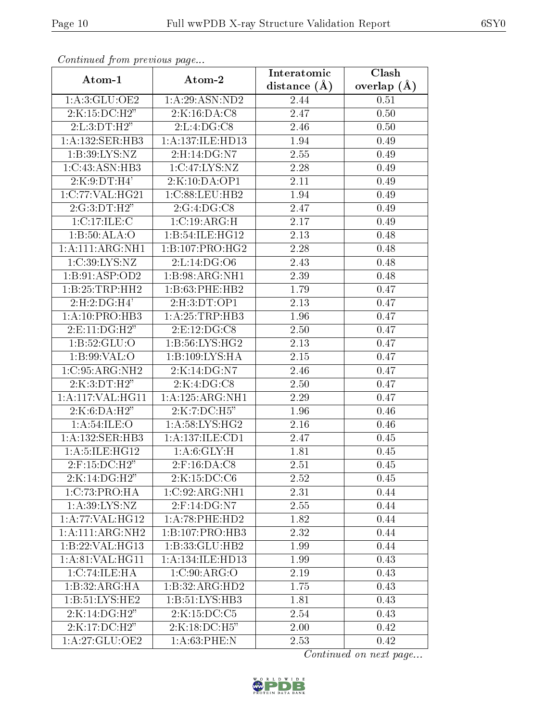| Comunaca jiom previous page     |                             | Interatomic       | Clash             |  |
|---------------------------------|-----------------------------|-------------------|-------------------|--|
| Atom-1                          | Atom-2                      | distance $(A)$    | overlap $(A)$     |  |
| 1: A:3: GLU:OE2                 | 1: A:29: ASN:ND2            | 2.44              | 0.51              |  |
| 2:K:15:DC:H2"                   | 2:K:16:DA:C8                | 2.47              | $\overline{0.50}$ |  |
| 2: L: 3: DT:H2"                 | 2: L: 4: DG: C8             | 2.46              | 0.50              |  |
| 1: A: 132: SER: HB3             | 1: A: 137: ILE: HD13        | 1.94              | 0.49              |  |
| 1: B:39: LYS: NZ                | 2:H:14:DG:N7                | 2.55              | 0.49              |  |
| 1:C:43:ASN:HB3                  | 1:C:47:LYS:NZ               | 2.28              | 0.49              |  |
| 2:K:9:DT:H4'                    | $2:\overline{K:10:DA:OP1}$  | $\overline{2.11}$ | 0.49              |  |
| 1:C:77:VAL:HG21                 | 1:C:88:LEU:HB2              | 1.94              | 0.49              |  |
| 2:G:3:DT:H2"                    | 2:G:4:DG:CS                 | 2.47              | 0.49              |  |
| 1:C:17:ILE:C                    | 1:C:19:ARG:H                | 2.17              | 0.49              |  |
| 1:B:50:ALA:O                    | 1:B:54:ILE:HG12             | 2.13              | 0.48              |  |
| 1:A:111:ARG:NH1                 | 1:B:107:PRO:HG2             | 2.28              | 0.48              |  |
| 1:C:39:LYS:NZ                   | 2:L:14:DG:O6                | 2.43              | 0.48              |  |
| 1:B:91:ASP:OD2                  | $1:B:98:ARG:\overline{NH1}$ | 2.39              | 0.48              |  |
| 1:B:25:TRP:HH2                  | 1:B:63:PHE:HB2              | 1.79              | 0.47              |  |
| 2: H: 2: DG:H4'                 | 2: H:3: DT: OP1             | 2.13              | 0.47              |  |
| 1: A:10: PRO:HB3                | 1:A:25:TRP:HB3              | 1.96              | 0.47              |  |
| 2:E:11:DG:H2"                   | 2: E: 12: DG: C8            | 2.50              | 0.47              |  |
| 1:B:52:GLU:O                    | 1:B:56:LYS:HG2              | 2.13              | 0.47              |  |
| 1: B:99: VAL:O                  | 1:B:109:LYS:HA              | 2.15              | 0.47              |  |
| 1:C:95:ARG:NH2                  | 2:K:14:DG:N7                | 2.46              | 0.47              |  |
| 2:K:3:DT:H2"                    | 2:K:4:DG:CS                 | 2.50              | 0.47              |  |
| 1: A:117: VAL:HGI1              | 1: A: 125: ARG: NH1         | 2.29              | 0.47              |  |
| 2:K:6:DA:H2"                    | 2:K:7:DC:H5"                | 1.96              | 0.46              |  |
| 1:A:54:ILE:O                    | 1: A:58: LYS: HG2           | 2.16              | 0.46              |  |
| 1:A:132:SER:HB3                 | 1:A:137:ILE:CD1             | 2.47              | 0.45              |  |
| 1: A: 5: ILE: HG12              | 1: A:6: GLY: H              | 1.81              | 0.45              |  |
| $2:$ F:15:DC: $\overline{H2}$ " | $2:$ F:16:DA:C8             | 2.51              | 0.45              |  |
| 2:K:14:DG:H2"                   | 2:K:15:DC:C6                | 2.52              | 0.45              |  |
| 1:C:73:PRO:HA                   | 1:C:92:ARG:NH1              | 2.31              | 0.44              |  |
| 1: A:39: LYS: NZ                | 2:F:14:DG:N7                | 2.55              | 0.44              |  |
| 1:A:77:VAL:HG12                 | 1:A:78:PHE:HD2              | 1.82              | 0.44              |  |
| 1:A:111:ARG:NH2                 | 1:B:107:PRO:HB3             | 2.32              | 0.44              |  |
| 1:B:22:VAL:HG13                 | 1:B:33:GLU:HB2              | 1.99              | 0.44              |  |
| 1: A:81:VAL:HG11                | 1:A:134:ILE:HD13            | 1.99              | 0.43              |  |
| 1:C:74:ILE:HA                   | 1: C:90: ARG:O              | 2.19              | 0.43              |  |
| 1:B:32:ARG:HA                   | 1:B:32:ARG:HD2              | 1.75              | 0.43              |  |
| 1: B: 51: LYS: HE2              | 1:B:51:LYS:HB3              | 1.81              | 0.43              |  |
| 2:K:14:DG:H2"                   | 2:K:15:DC:C5                | 2.54              | 0.43              |  |
| 2:K:17:DC:H2"                   | 2:K:18:DC:H5"               | 2.00              | 0.42              |  |
| 1:A:27:GLU:OE2                  | 1: A:63:PHE:N               | 2.53              | 0.42              |  |

Continued from previous page.

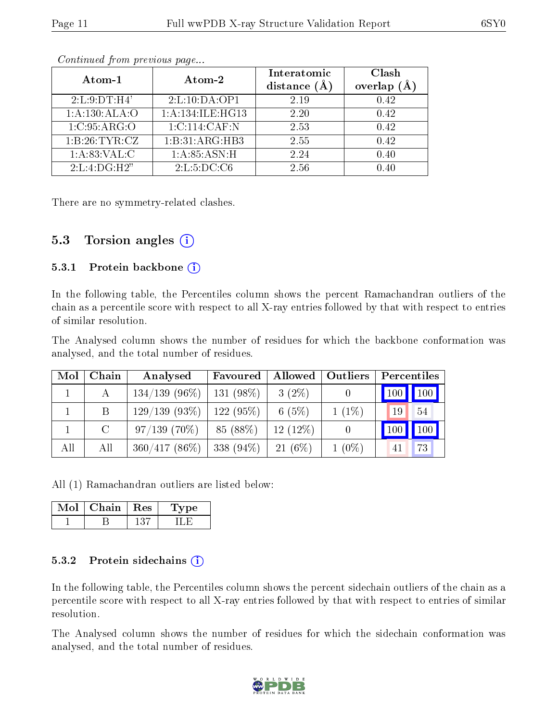| Atom-1           | Atom-2            | Interatomic    | Clash   |
|------------------|-------------------|----------------|---------|
|                  |                   | distance $(A)$ | overlap |
| 2: L: 9: DT: H4' | 2: L: 10: DA: OP1 | 2.19           | 0.42    |
| 1:A:130:ALA:O    | 1:A:134:ILE:HG13  | 2.20           | 0.42    |
| 1: C:95: ARG:O   | 1:C:114:CAF:N     | 2.53           | 0.42    |
| 1: B:26: TYR: CZ | 1:B:31:ARG:HB3    | 2.55           | 0.42    |
| 1: A:83:VAL: C   | 1: A:85: ASN:H    | 2.24           | 0.40    |
| 2: L: 4: DG:H2"  | 2: L: 5: DC: C6   | 2.56           | 0.40    |

Continued from previous page...

There are no symmetry-related clashes.

#### 5.3 Torsion angles  $(i)$

#### 5.3.1 Protein backbone  $(i)$

In the following table, the Percentiles column shows the percent Ramachandran outliers of the chain as a percentile score with respect to all X-ray entries followed by that with respect to entries of similar resolution.

The Analysed column shows the number of residues for which the backbone conformation was analysed, and the total number of residues.

| Mol | Chain   | Analysed                      | Favoured    | Allowed   Outliers |          | Percentiles                         |  |  |
|-----|---------|-------------------------------|-------------|--------------------|----------|-------------------------------------|--|--|
|     |         | $134/139(96\%)$               | $131(98\%)$ | $3(2\%)$           |          | $\vert$ 100 $\vert$ 100 $\vert$     |  |  |
|     | B       | 129/139(93%)                  | 122(95%)    | 6(5%)              | $1(1\%)$ | 54<br>19                            |  |  |
|     | $\rm C$ | $97/139(70\%)$                | 85 (88%)    | $12(12\%)$         |          | $\blacksquare$ 100<br>$ 100\rangle$ |  |  |
| All | All     | $360/417$ (86\%)   338 (94\%) |             | $21(6\%)$          | $1(0\%)$ | 73<br>41                            |  |  |

All (1) Ramachandran outliers are listed below:

| Mol | Chain | $\perp$ Res | vpe |
|-----|-------|-------------|-----|
|     |       |             |     |

#### 5.3.2 Protein sidechains  $(i)$

In the following table, the Percentiles column shows the percent sidechain outliers of the chain as a percentile score with respect to all X-ray entries followed by that with respect to entries of similar resolution.

The Analysed column shows the number of residues for which the sidechain conformation was analysed, and the total number of residues.

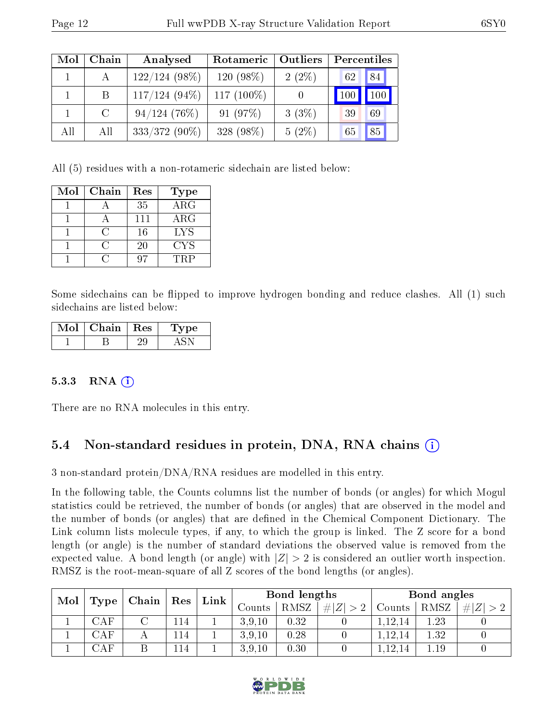| Mol | Chain         | Analysed        | <b>Outliers</b><br>Rotameric |          | Percentiles |     |  |
|-----|---------------|-----------------|------------------------------|----------|-------------|-----|--|
|     |               | $122/124(98\%)$ | $120(98\%)$                  | $2(2\%)$ | 62          | 84  |  |
|     | B             | $117/124(94\%)$ | 117 $(100\%)$                |          | 100         | 100 |  |
|     | $\mathcal{C}$ | 94/124(76%)     | 91(97%)                      | $3(3\%)$ | 39          | 69  |  |
| All | All           | $333/372(90\%)$ | 328 (98%)                    | $5(2\%)$ | 65          | 85  |  |

All (5) residues with a non-rotameric sidechain are listed below:

| Mol | Chain | Res | <b>Type</b> |
|-----|-------|-----|-------------|
|     |       | 35  | $\rm{ARG}$  |
|     |       | 111 | $\rm{ARG}$  |
|     | ( )   | 16  | <b>LYS</b>  |
|     | ( )   | 20  | <b>CYS</b>  |
|     |       |     | TRP         |

Some sidechains can be flipped to improve hydrogen bonding and reduce clashes. All (1) such sidechains are listed below:

| Mol | Chain   Res | Type |
|-----|-------------|------|
|     |             |      |

#### 5.3.3 RNA  $(i)$

There are no RNA molecules in this entry.

### 5.4 Non-standard residues in protein, DNA, RNA chains (i)

3 non-standard protein/DNA/RNA residues are modelled in this entry.

In the following table, the Counts columns list the number of bonds (or angles) for which Mogul statistics could be retrieved, the number of bonds (or angles) that are observed in the model and the number of bonds (or angles) that are defined in the Chemical Component Dictionary. The Link column lists molecule types, if any, to which the group is linked. The Z score for a bond length (or angle) is the number of standard deviations the observed value is removed from the expected value. A bond length (or angle) with  $|Z| > 2$  is considered an outlier worth inspection. RMSZ is the root-mean-square of all Z scores of the bond lengths (or angles).

| Mol | $\mid$ Chain $\mid$<br>Type |  | Res  |  | Bond lengths |         |             |             | Bond angles |      |      |
|-----|-----------------------------|--|------|--|--------------|---------|-------------|-------------|-------------|------|------|
|     |                             |  |      |  | Link         | Jounts- | <b>RMSZ</b> | # $ Z  > 2$ | Counts      | RMSZ | H  Z |
|     | CAF                         |  | 114  |  | 3,9,10       | 0.32    |             | .12.14      | .23         |      |      |
|     | ${\rm CAF}$                 |  | 14   |  | 3,9,10       | 0.28    |             | 12,14       | .32         |      |      |
|     | ${\rm CAP}$                 |  | ، 14 |  | 3,9,10       | 0.30    |             | 1 ດ.        | 1.19        |      |      |

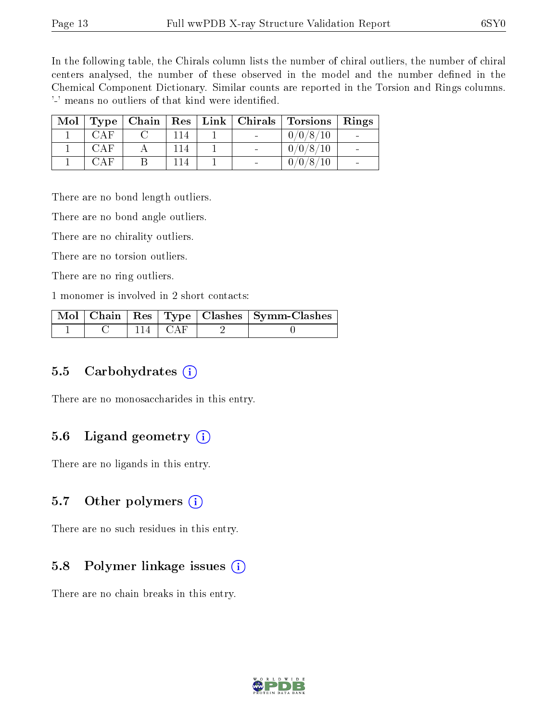In the following table, the Chirals column lists the number of chiral outliers, the number of chiral centers analysed, the number of these observed in the model and the number defined in the Chemical Component Dictionary. Similar counts are reported in the Torsion and Rings columns. '-' means no outliers of that kind were identified.

| Mol |      |     |  | $Type   Chain   Res   Link   Christmas   Torsions   Rings$ |  |
|-----|------|-----|--|------------------------------------------------------------|--|
|     | CAF  |     |  | 0/0/8/10                                                   |  |
|     | CAF  | 14  |  | 0/0/8/10                                                   |  |
|     | CA F | -14 |  | 0/0/8/                                                     |  |

There are no bond length outliers.

There are no bond angle outliers.

There are no chirality outliers.

There are no torsion outliers.

There are no ring outliers.

1 monomer is involved in 2 short contacts:

|  |               | Mol   Chain   Res   Type   Clashes   Symm-Clashes |
|--|---------------|---------------------------------------------------|
|  | + 114 + CAF + |                                                   |

#### 5.5 Carbohydrates  $(i)$

There are no monosaccharides in this entry.

#### 5.6 Ligand geometry  $(i)$

There are no ligands in this entry.

#### 5.7 [O](https://www.wwpdb.org/validation/2017/XrayValidationReportHelp#nonstandard_residues_and_ligands)ther polymers  $(i)$

There are no such residues in this entry.

#### 5.8 Polymer linkage issues  $(i)$

There are no chain breaks in this entry.

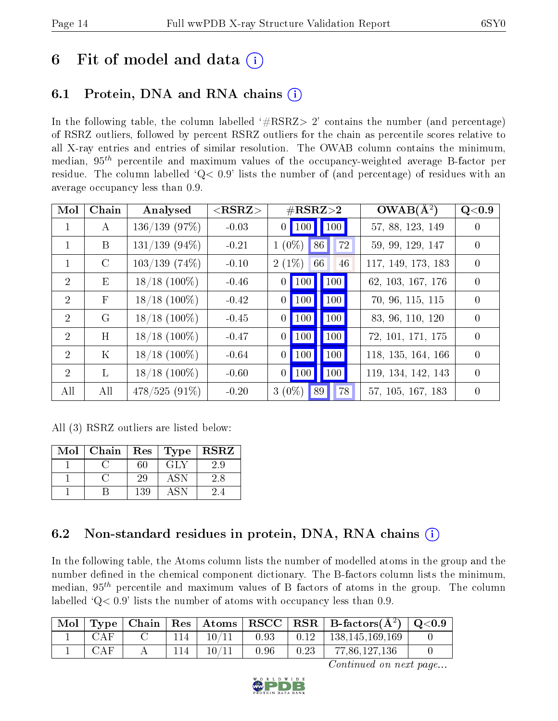# 6 Fit of model and data  $(i)$

### 6.1 Protein, DNA and RNA chains (i)

In the following table, the column labelled  $#RSRZ>2'$  contains the number (and percentage) of RSRZ outliers, followed by percent RSRZ outliers for the chain as percentile scores relative to all X-ray entries and entries of similar resolution. The OWAB column contains the minimum, median,  $95<sup>th</sup>$  percentile and maximum values of the occupancy-weighted average B-factor per residue. The column labelled ' $Q< 0.9$ ' lists the number of (and percentage) of residues with an average occupancy less than 0.9.

| Mol            | Chain         | Analysed         | $<$ RSRZ $>$ | $\#\text{RSRZ}\text{>2}$                                    | $OWAB(\overline{A^2})$ | Q <sub>0.9</sub> |
|----------------|---------------|------------------|--------------|-------------------------------------------------------------|------------------------|------------------|
| $\mathbf{1}$   | А             | 136/139(97%)     | $-0.03$      | $\vert$ 100 $\vert$<br>$0$   100                            | 57, 88, 123, 149       | $\left( \right)$ |
| $\mathbf{1}$   | B             | $131/139$ (94\%) | $-0.21$      | $1(0\%)$<br>86<br>72                                        | 59, 99, 129, 147       | $\Omega$         |
| $\mathbf{1}$   | $\mathcal{C}$ | $103/139(74\%)$  | $-0.10$      | $2(1\%)$<br>66<br>46                                        | 117, 149, 173, 183     | $\Omega$         |
| $\overline{2}$ | Ε             | $18/18$ (100%)   | $-0.46$      | $\blacksquare$ 100<br>$\vert$ 100 $\vert$<br>0 <sup>1</sup> | 62, 103, 167, 176      | $\Omega$         |
| 2              | $\mathbf{F}$  | $18/18$ (100%)   | $-0.42$      | $\vert$ 100<br>100<br>$\theta$                              | 70, 96, 115, 115       | $\theta$         |
| $\overline{2}$ | G             | $18/18$ (100\%)  | $-0.45$      | 100<br>100<br>$\overline{0}$                                | 83, 96, 110, 120       | $\Omega$         |
| $\overline{2}$ | H             | $18/18$ (100%)   | $-0.47$      | 100<br>100<br>$\boldsymbol{0}$                              | 72, 101, 171, 175      | $\Omega$         |
| $\overline{2}$ | $\rm K$       | $18/18$ (100\%)  | $-0.64$      | $\vert$ 100 $\vert$<br>100<br>$\overline{0}$                | 118, 135, 164, 166     | $\Omega$         |
| $\overline{2}$ | L             | $18/18$ (100%)   | $-0.60$      | $\vert$ 100 $\vert$<br>100<br>$\vert 0 \vert \vert$         | 119, 134, 142, 143     | $\Omega$         |
| All            | All           | $478/525(91\%)$  | $-0.20$      | $3(0\%)$<br>89<br>78                                        | 57, 105, 167, 183      | $\Omega$         |

All (3) RSRZ outliers are listed below:

| Mol | Chain | Res | <b>Type</b> | <b>RSRZ</b> |
|-----|-------|-----|-------------|-------------|
|     |       | 60  | GLY         | 2.9         |
|     |       | 29  | ASN         | 2.8         |
|     |       | 139 | A SN        |             |

### 6.2 Non-standard residues in protein, DNA, RNA chains (i)

In the following table, the Atoms column lists the number of modelled atoms in the group and the number defined in the chemical component dictionary. The B-factors column lists the minimum, median,  $95<sup>th</sup>$  percentile and maximum values of B factors of atoms in the group. The column labelled  $Q< 0.9$ ' lists the number of atoms with occupancy less than 0.9.

| $\mid$ Mol $\mid$ |            |  |       |      |                                      | $\vert$ Type   Chain   Res   Atoms   RSCC   RSR   B-factors $(A^2)$   Q<0.9 |  |
|-------------------|------------|--|-------|------|--------------------------------------|-----------------------------------------------------------------------------|--|
|                   | CAF        |  | 10/11 | 0.93 | $\begin{array}{cc} 0.12 \end{array}$ | 138,145,169,169                                                             |  |
|                   | <b>CAF</b> |  | 10/11 | 0.96 | 0.23                                 | 77,86,127,136                                                               |  |